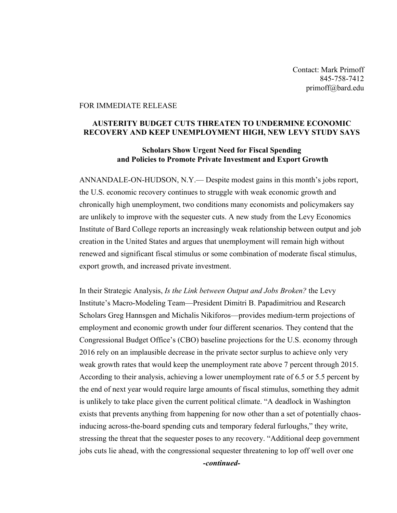Contact: Mark Primoff 845-758-7412 primoff@bard.edu

## FOR IMMEDIATE RELEASE

## **AUSTERITY BUDGET CUTS THREATEN TO UNDERMINE ECONOMIC RECOVERY AND KEEP UNEMPLOYMENT HIGH, NEW LEVY STUDY SAYS**

## **Scholars Show Urgent Need for Fiscal Spending and Policies to Promote Private Investment and Export Growth**

ANNANDALE-ON-HUDSON, N.Y.— Despite modest gains in this month's jobs report, the U.S. economic recovery continues to struggle with weak economic growth and chronically high unemployment, two conditions many economists and policymakers say are unlikely to improve with the sequester cuts. A new study from the Levy Economics Institute of Bard College reports an increasingly weak relationship between output and job creation in the United States and argues that unemployment will remain high without renewed and significant fiscal stimulus or some combination of moderate fiscal stimulus, export growth, and increased private investment.

In their Strategic Analysis, *Is the Link between Output and Jobs Broken?* the Levy Institute's Macro-Modeling Team—President Dimitri B. Papadimitriou and Research Scholars Greg Hannsgen and Michalis Nikiforos—provides medium-term projections of employment and economic growth under four different scenarios. They contend that the Congressional Budget Office's (CBO) baseline projections for the U.S. economy through 2016 rely on an implausible decrease in the private sector surplus to achieve only very weak growth rates that would keep the unemployment rate above 7 percent through 2015. According to their analysis, achieving a lower unemployment rate of 6.5 or 5.5 percent by the end of next year would require large amounts of fiscal stimulus, something they admit is unlikely to take place given the current political climate. "A deadlock in Washington exists that prevents anything from happening for now other than a set of potentially chaosinducing across-the-board spending cuts and temporary federal furloughs," they write, stressing the threat that the sequester poses to any recovery. "Additional deep government jobs cuts lie ahead, with the congressional sequester threatening to lop off well over one

*-continued-*